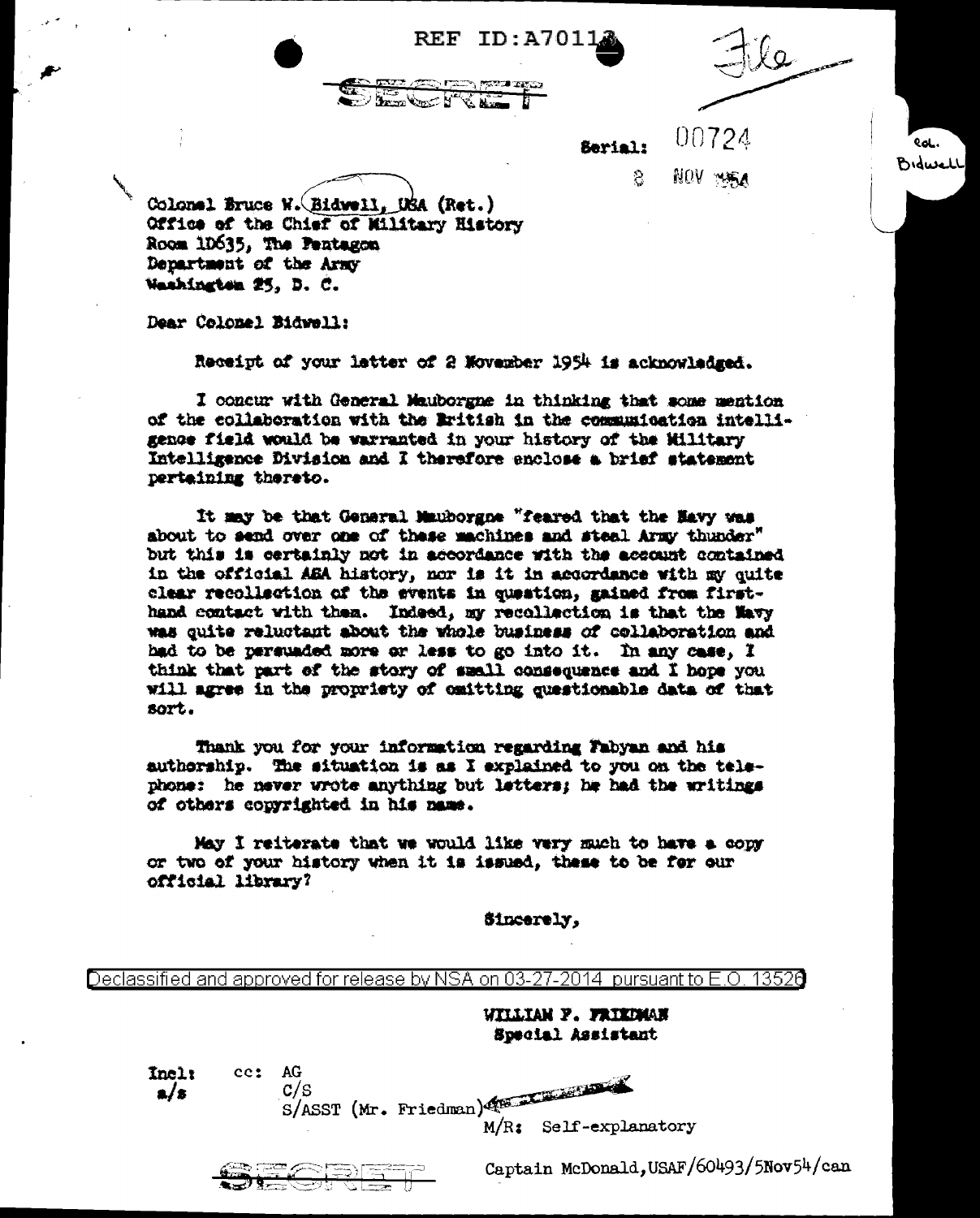**REF ID:A7011** 

**PRODUCTION** 

 $\sim 8.7$ 

كالتهبية



ed. Bidwell

UNZ24 Sarial:

8

NOV YARA

Colonal Bruce W. (Bidwell, USA (Ret.) Office of the Chief of Military History Room 1D635, The Pentagon Department of the Army Washington 25, D. C.

Dear Colonel Bidwell:

Receipt of your latter of 2 Movember 1954 is acknowledged.

I concur with General Mauborgne in thinking that some mention of the collaboration with the British in the communication intelligence field would be warranted in your history of the Military Intelligence Division and I therefore enclose a brief statement pertaining thereto.

It may be that General Mauhorgne "feared that the Havy was about to send over one of these machines and steal Army thunder" but this is certainly not in accordance with the account contained in the official AEA history, nor is it in accordance with my quite clear recollection of the events in question, gained from firsthand contact with them. Indeed, my recollection is that the Mavy was quite reluctant about the whole business of collaboration and had to be persuaded more or less to go into it. In any case, I think that part of the story of small consequence and I hope you will agree in the propriety of omitting questionable data of that sort.

Thank you for your information regarding Fabyan and his authorship. The situation is as I explained to you on the telephone: he never wrote anything but letters; he had the writings of others copyrighted in his name.

May I reiterate that we would like very much to have a copy or two of your history when it is issued, these to be for our official library?

Sincerely.

Declassified and approved for release by NSA on 03-13526 2014. pursuant to E.O.

> WILLIAM F. FRIEDMAN Special Assistant

Incli  $a/s$ 

cc: AG

S/ASST (Mr. Friedman) M/R: Self-explanatory



Captain McDonald, USAF/60493/5Nov54/can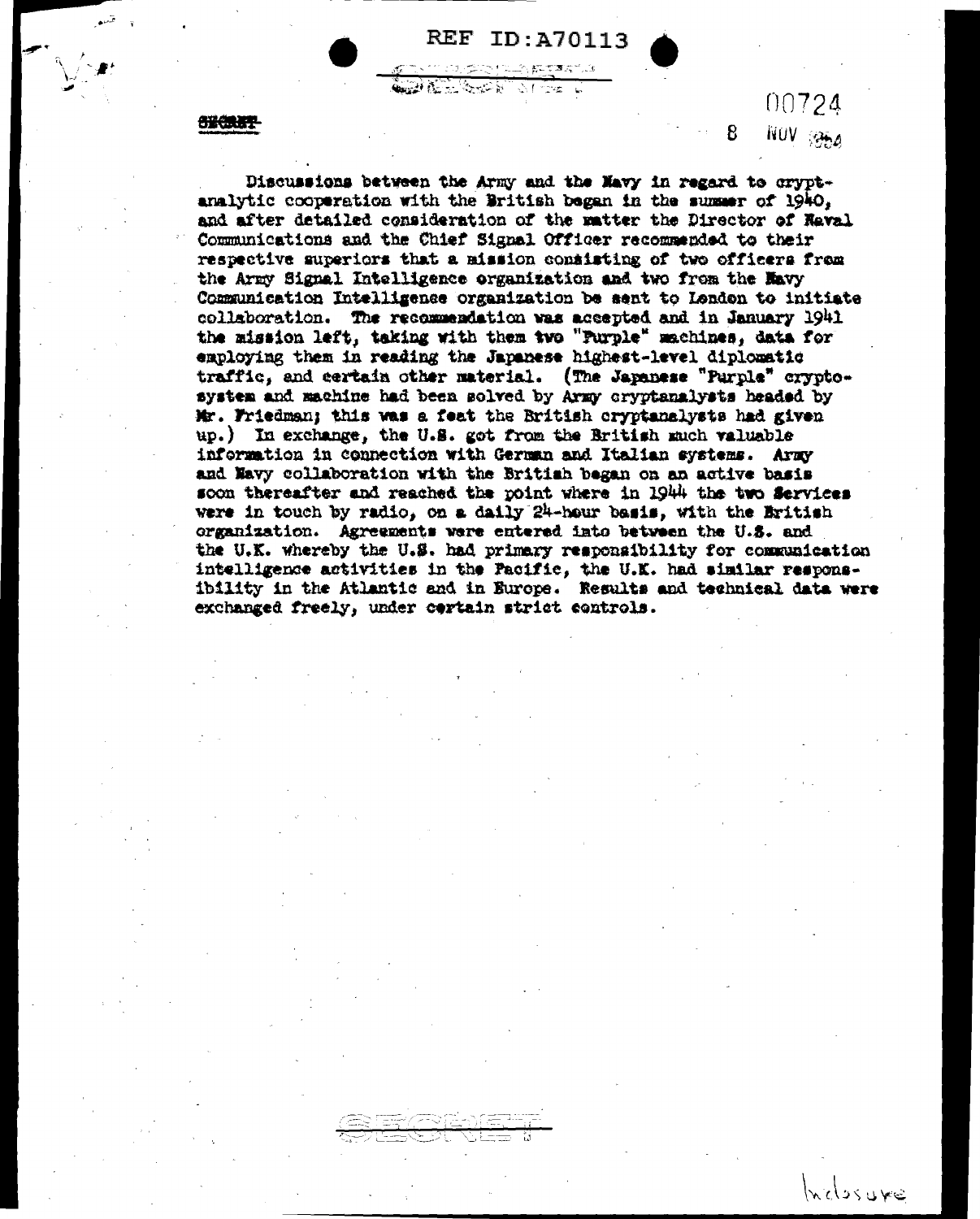| <b>REF ID: A70113</b> |  |  |  |  |  |
|-----------------------|--|--|--|--|--|
|-----------------------|--|--|--|--|--|

أوالمتعادلة فالمستكأة المتعاطفة nise

の姿のあまま

 $00724$ 8 NUV SANA

Welssure

Discussions between the Army and the Mavy in regard to cryptanalytic cooperation with the British began in the summer of 1940. and after detailed consideration of the matter the Director of Raval Communications and the Chief Signal Officer recommended to their respective superiors that a mission consisting of two officers from the Army Signal Intelligence organization and two from the Mavy Communication Intelligence organization be sent to London to initiate collaboration. The recommendation was accepted and in January 1941 the mission left, taking with them two "Purple" machines, data for employing them in reading the Japanese highest-level diplomatic traffic, and certain other material. (The Japanese "Purple" cryptosystem and machine had been solved by Army cryptanalysts headed by Mr. Friedman; this was a feat the British cryptanalysts had given up.) In exchange, the U.S. got from the British much valuable information in connection with German and Italian systems. Army and Mavy collaboration with the British began on an active basis soon thereafter and reached the point where in 1944 the two Services were in touch by radio, on a daily 24-hour basis, with the British organization. Agreements were entered into between the U.S. and the U.K. whereby the U.S. had primary responsibility for communication intelligence activities in the Pacific, the U.K. had similar responsibility in the Atlantic and in Europe. Results and technical data were exchanged freely, under cortain strict controls.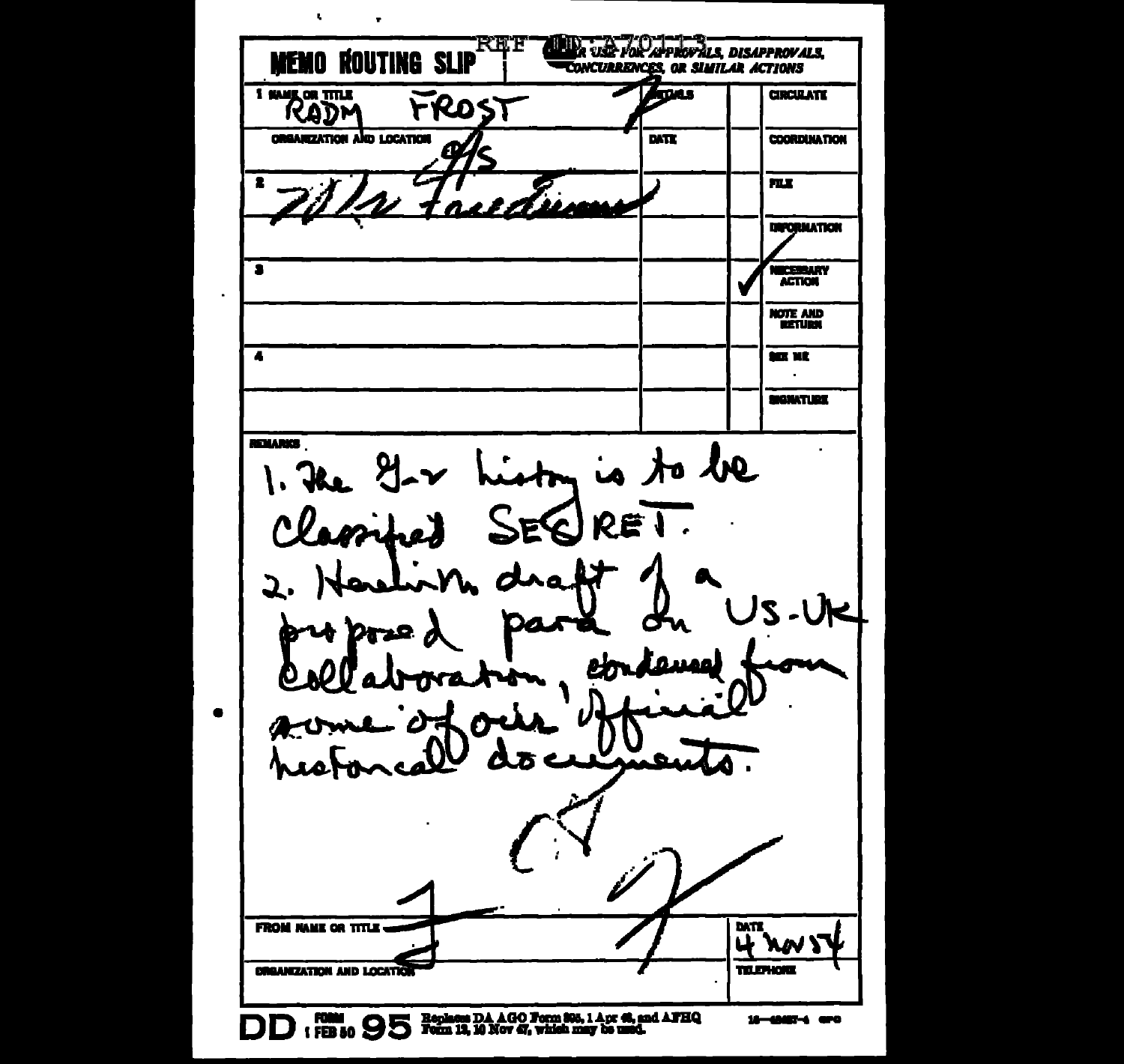$\mathbf{r}$  $\ddot{\phantom{0}}$ **REF ALLIE SUCH FOR APPROVALS, DISAPPROVALS, NEMO ROUTING SLIP CONCURRENCES OR SIMILAR ACTIONS** RADM **Fronts CIRCULATE** FROST **ORGANIZATION AND LOCATION**  $\overline{\mathbf{M}}$ COORDINATION **FILE DIFORMATION**  $\overline{\bullet}$ **MCESSARY**<br>ACTION **NOTE AND**  $\overline{\phantom{a}}$ SE VE **BIONATURE REVARKS** Liston is to be  $1.2$ le  $21 - y$ Clarinet SEQ REI ó.  $\mathbf{z}$ -UK  $\bm{b}$ O Ű nestoncall Δz **FROM NAME OR TITLE.** DATE **KW S DREAMZATION AND LOCATION TIL ENGIN** DD: FORM 95 Form 13, 10 Nov 67, which may be used. 18-6807-4 ero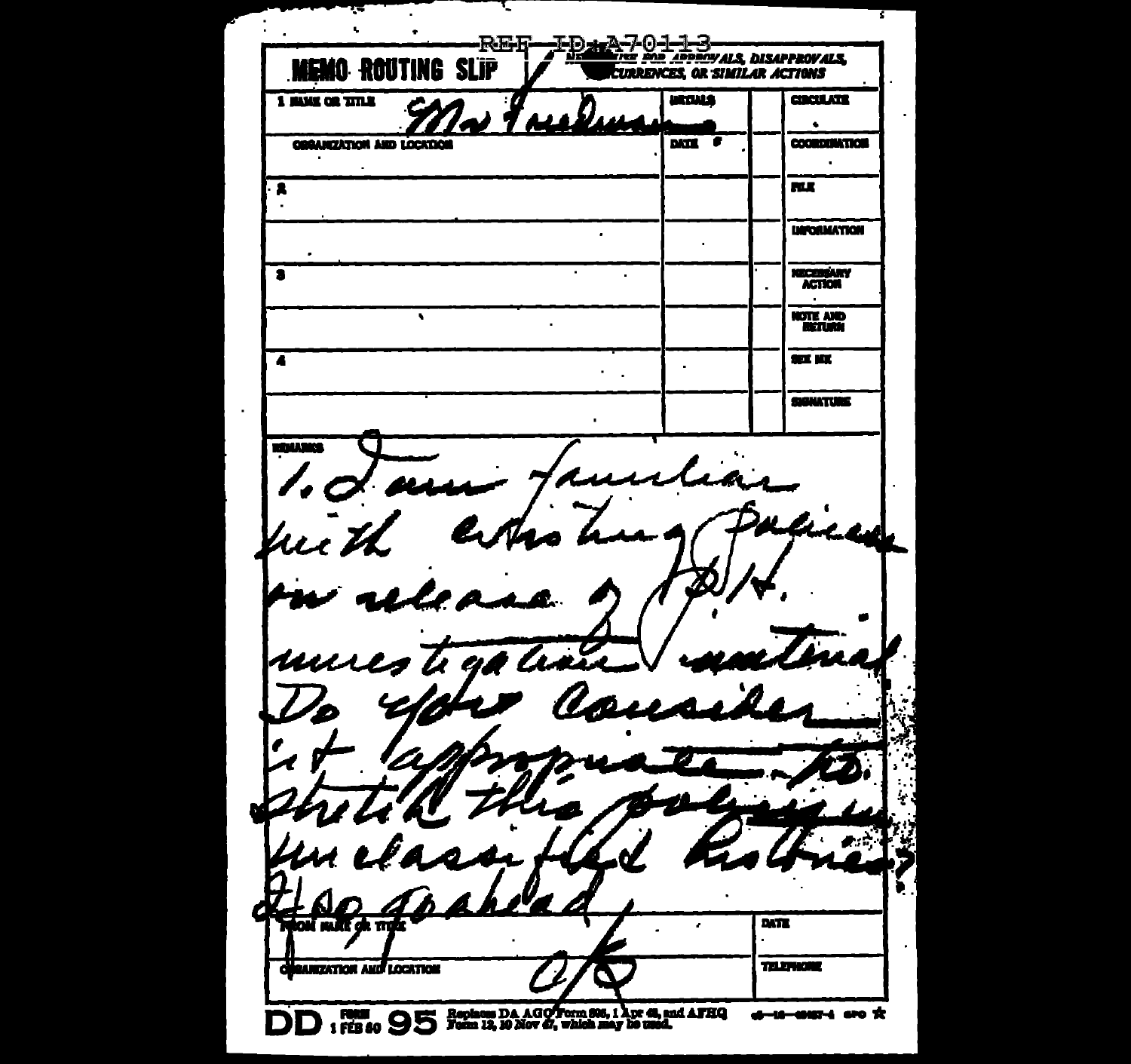π  $\mathbf{q}$ T-D 3-2-7-0-1-1-3<br>A MARING POR APPROVALS, DISAPPROVALS<br>A TENGURARINGES, OR SIMILAR ACTIONS **REF MEMO ROUTING SLIP DETINIS COCULATE** 1 MAIL OR TITLE  $\ddot{\phantom{a}}$  $MTI$ **COORDINATION** CORANIZATION AND LOCATION  $\mathbf{r}$ nı.  $\overline{\bullet}$ **DIFORMATION** NECESSARY Ŧ **HOTE AND**  $\ddot{\phantom{a}}$ **SET KIL**  $\blacksquare$ **SHIVATURE TELLER** ulia. lice as. hex uuu DATE **TELEVIONE GANZATION AND LOCATION** DD: FORM 95 Replaces DA AGOTTom 808, 1 Apr 48, and AFHQ d-18-0007-1 are \*\*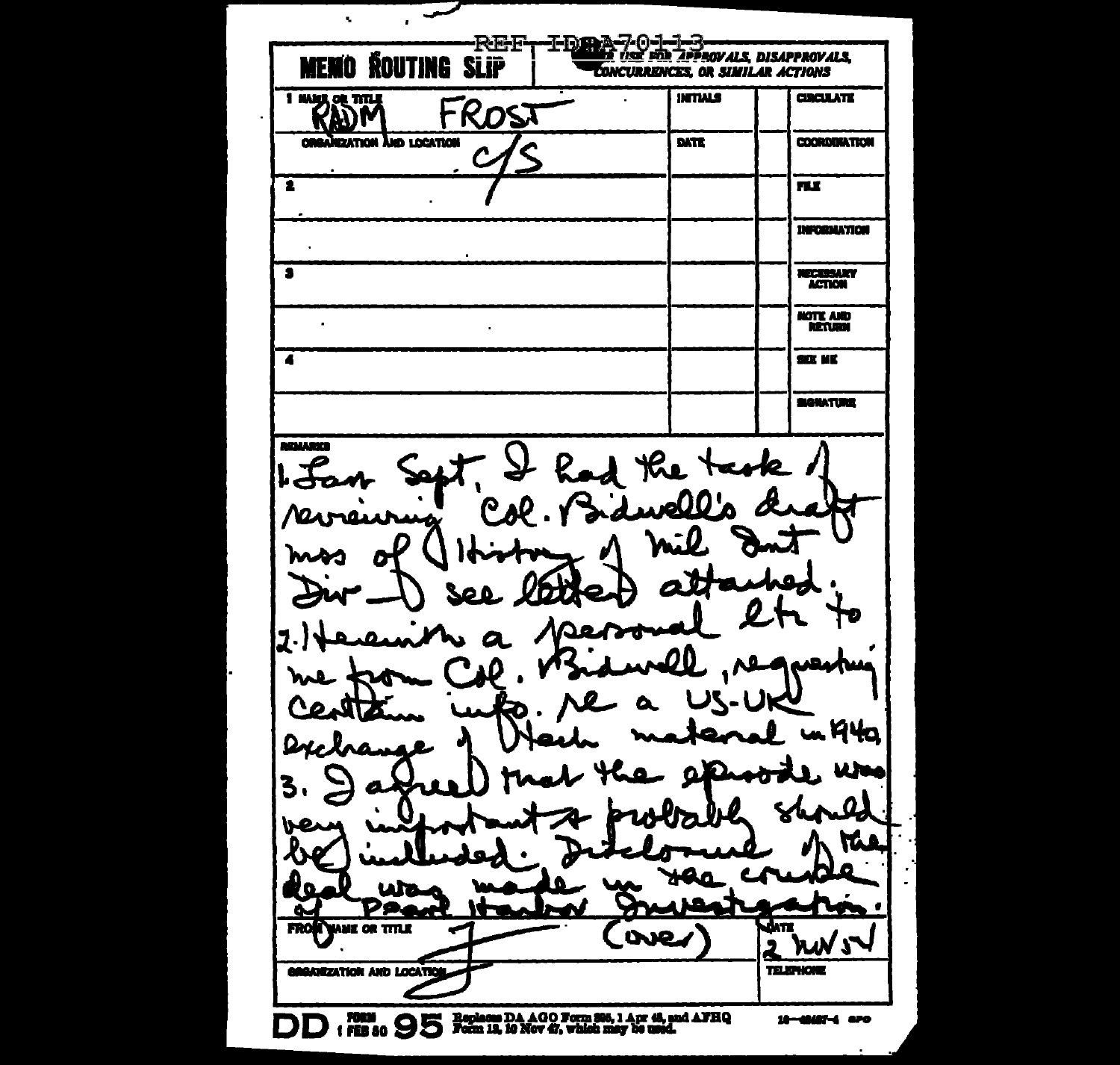$\mathbf{u}$ **FDAA REF** 7.0-1-1-3-<br>USE FOR APPROVALS, DISAPPROVALS, **MEMO ŘOUTING** SLiP **CONCURRENCES, OR SIMILAR ACTIONS INTIALS CIRCULATE** 1 MANIE OR TITLE <u>ROST</u> いい **ORGANIZATION AND LOCATION** DATE **COORDINATION** 2 FLE. **INFORMATION** 3 HECKSAKY **ACTION HOTE AND**  $\overline{a}$  $\overline{\bullet}$ .<br>SER NE **SIGNATURE BENJARYS** had the two łe. 77 ر م نه **140** D 3 ā 10 FRO MANE OR TITLE **D.10 TELIPHONE GREATZATION AND LOCATION** DD : FEB 80 95 Form 13, 10 Nov 47, which may be used.  $10 - 40487 - 4$  are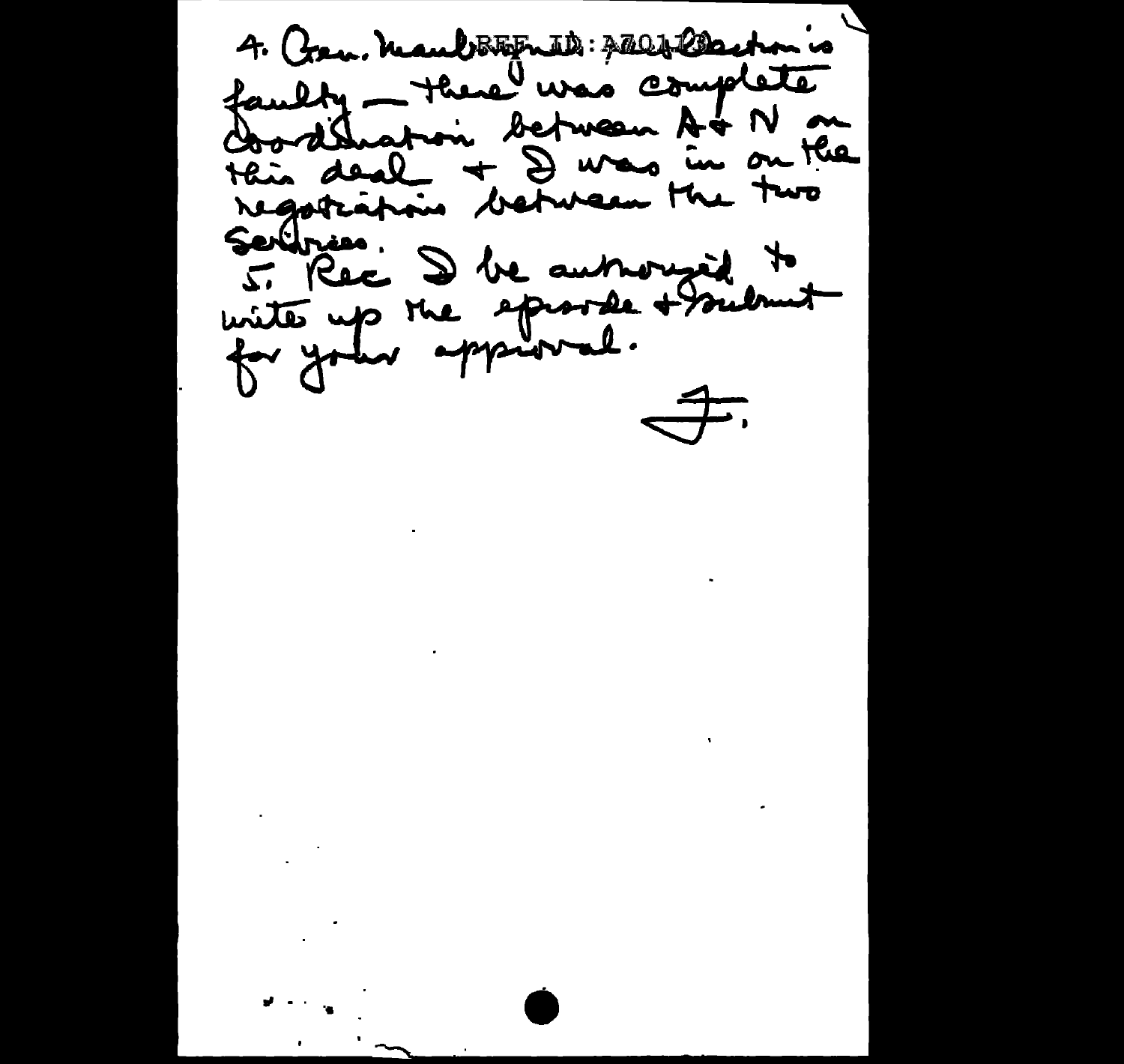4. Gen. MaubBEFred: Fald Clackon is faulty - there was complete this deal + D'unes in on the regatistion between the two 5. Rec I be authorized to write up the sprorde + soulant  $\overline{+}$  $\mathcal{L}^{\text{max}}_{\text{max}}$  $\label{eq:2.1} \frac{1}{2} \sum_{i=1}^n \frac{1}{2} \sum_{j=1}^n \frac{1}{2} \sum_{j=1}^n \frac{1}{2} \sum_{j=1}^n \frac{1}{2} \sum_{j=1}^n \frac{1}{2} \sum_{j=1}^n \frac{1}{2} \sum_{j=1}^n \frac{1}{2} \sum_{j=1}^n \frac{1}{2} \sum_{j=1}^n \frac{1}{2} \sum_{j=1}^n \frac{1}{2} \sum_{j=1}^n \frac{1}{2} \sum_{j=1}^n \frac{1}{2} \sum_{j=1}^n \frac{$  $\label{eq:2.1} \frac{1}{\sqrt{2}}\int_{0}^{\infty}\frac{d\mu}{\lambda} \left(\frac{d\mu}{\lambda}\right)^2 \left(\frac{d\mu}{\lambda}\right)^2 \left(\frac{d\mu}{\lambda}\right)^2 \left(\frac{d\mu}{\lambda}\right)^2.$ 

 $\label{eq:2.1} \frac{\partial}{\partial t} \left( \frac{1}{\| \mathbf{v} \|_2} \right) = \frac{1}{\| \mathbf{v} \|_2^2} \left( \frac{1}{\| \mathbf{v} \|_2^2} \right) \left( \frac{1}{\| \mathbf{v} \|_2^2} \right)$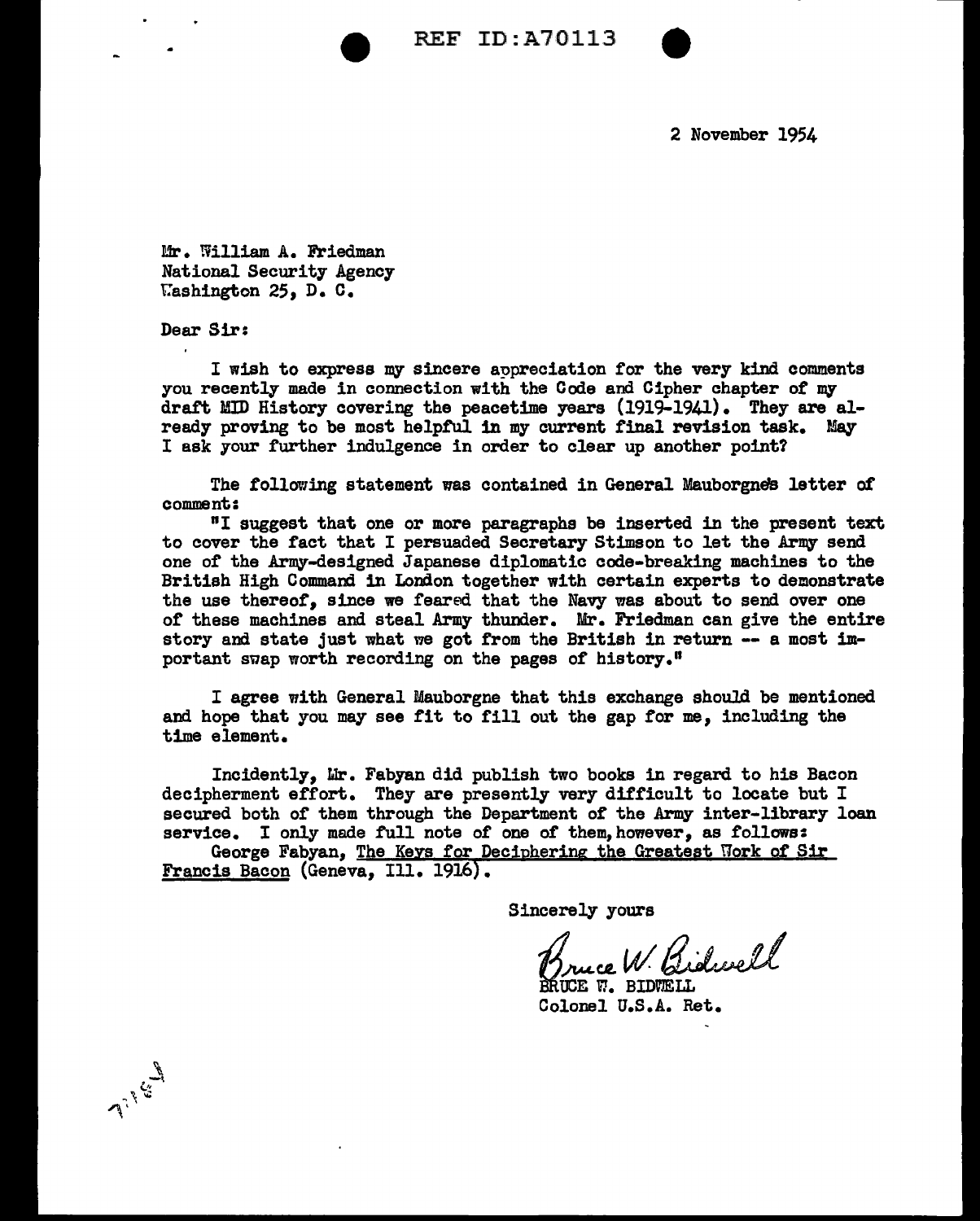

2 November 1954

Mr. William A. Friedman National Security Agency Uashington 25, D. C.

Dear Sir:

**Alists** 

I wish to express my sincere appreciation for the very kind comments you recently made in connection with the Code and Cipher chapter *ot* my draft MID History covering the peacetime years (1919-1941). They are already proving to be most helpful in my current final revision task. May I ask your further indulgence in order to clear up another point?

The following statement was contained in General Mauborgne's letter of comment:

"I suggest that one or more paragraphs be inserted in the present text to cover the fact that I persuaded Secretary Stimson to let the Army send one of the Army-designed Japanese diplomatic code-breaking machines to the British High Command in London together with certain experts to demonstrate the use thereof, since we feared that the Navy was about to send over one or these machines and steal Army thunder. Mr. Friedman can give the entire story and state just what we got from the British in return -- a most important swap worth recording on the pages of history."

I agree with General Mauborgne that this exchange should be mentioned and hope that you may see fit to fill out the gap *tor* me, including the time element.

Incidently, Lir. Fabyan did publish two books in regard to his Bacon decipherment effort. They are presently very difficult to locate but I secured both of them through the Department of the Army inter-library loan service. I only made full note of one of them, however, as follows:

George Fabyan, The Keys for Deciphering the Greatest Work of Sir Francis Bacon (Geneva, Ill. 1916).

Sincerely yours

Bruce W. Gidwell

Colonel U.S.A. Ret.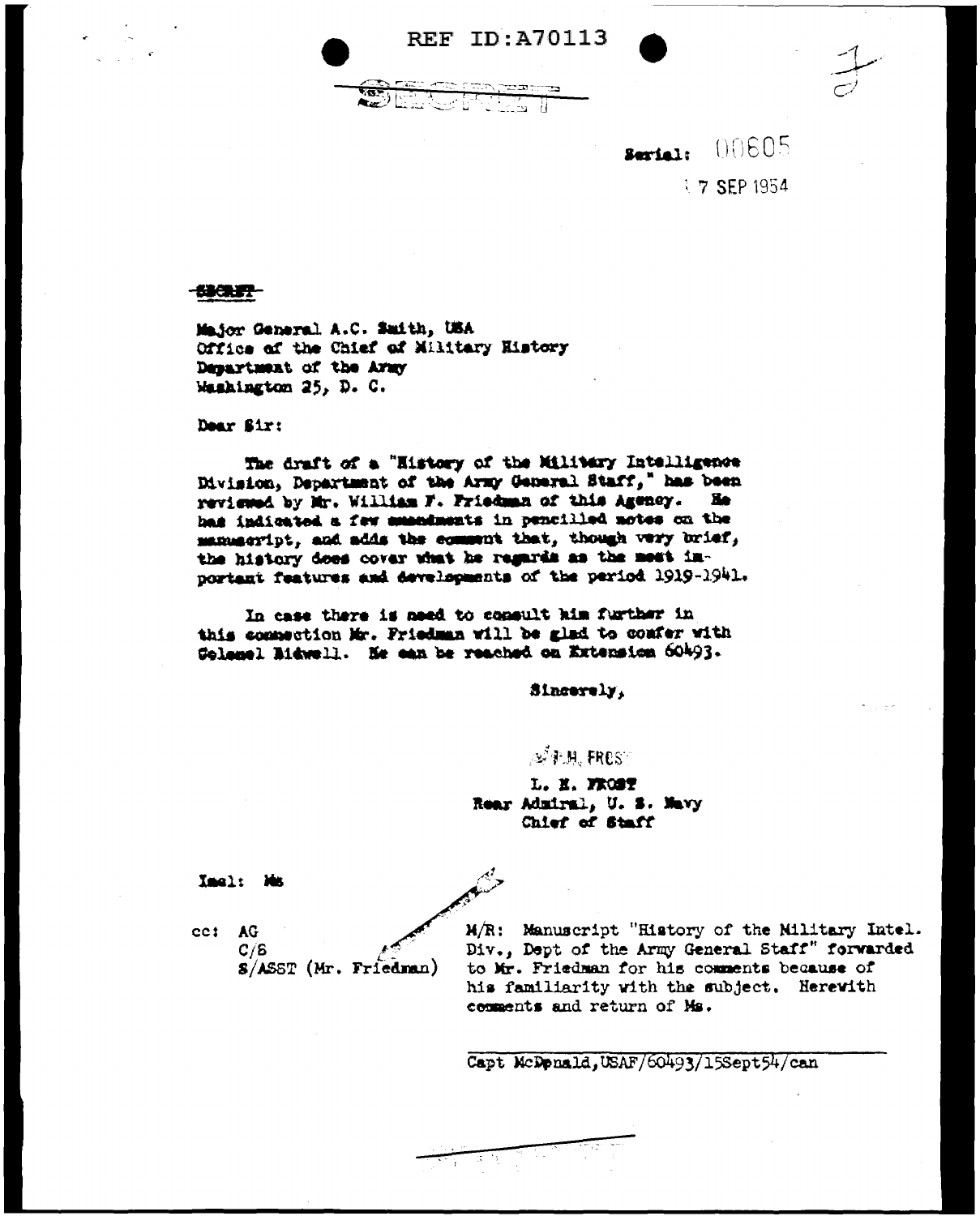**REF ID:A70113** 



## <del>130.77</del>

Major General A.C. Smith, USA Office of the Chief of Military History Department of the Army Washington 25, D. C.

स्तर

Dear Sir:

The draft of a "History of the Military Intelligence Division, Department of the Army General Staff," has been reviewed by Mr. William F. Friedman of this Agency. He has indicated a few smandments in pencilled notes on the manuscript, and adds the comment that, though very brief, the history does cover what he regards as the meet inportant features and developments of the period 1919-1941.

In case there is need to consult him further in this commetion Mr. Friedman will be glad to confer with Golamel Bidwell. He can be reached on Extension 60493.

Sincerely,

AP.H. FREST

L. E. FROST Rear Admiral, U. S. Mavy Chief of Staff

Imal: Mm

cc: AG  $C/S$ S/ASST (Mr. Friedman)

M/R: Manuscript "History of the Military Intel. Div., Dept of the Army General Staff" forwarded to Mr. Friedman for his comments because of his familiarity with the subject. Herewith comments and return of Ms.

Capt McDenald, USAF/60493/15Sept54/can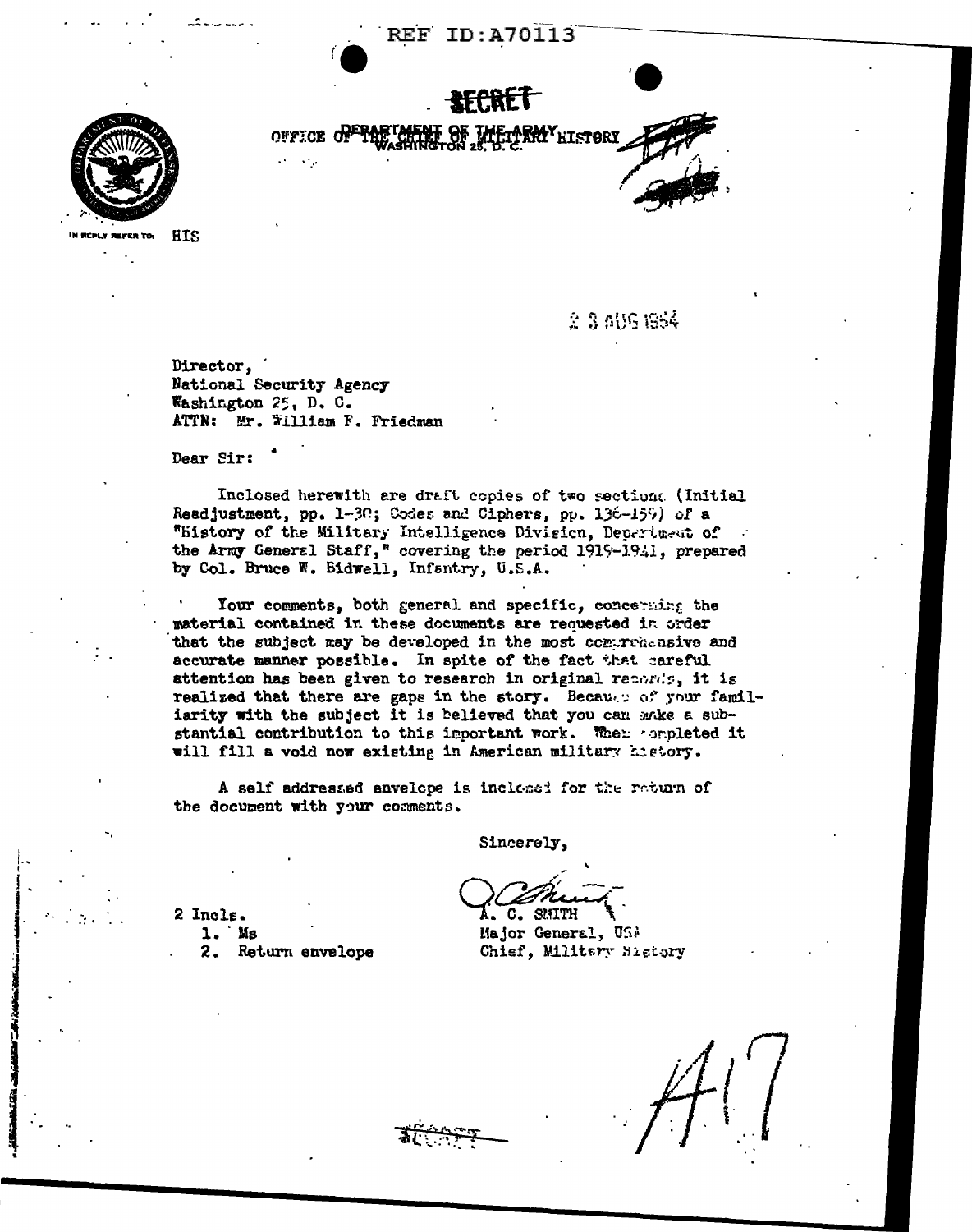

**MY** history OFFICE OF  $\sim$   $\sim$ 

**HTS** ICPLY REFER TO

 $\hat{x}$   $\hat{3}$  and read

Director. National Security Agency Washington 25, D. C. ATTN: Mr. William F. Friedman

Dear Sir:

Inclosed herewith are draft copies of two sections (Initial Readjustment, pp. 1-30; Codes and Ciphers, pp. 136-159) of a "History of the Military Intelligence Division, Department of the Army General Staff," covering the period 1919-1941, prepared by Col. Bruce W. Bidwell, Infantry, U.S.A.

Your comments, both general and specific, concerning the material contained in these documents are requested in order that the subject may be developed in the most comprehensive and accurate manner possible. In spite of the fact that careful attention has been given to research in original records, it is realized that there are gaps in the story. Because of your familiarity with the subject it is believed that you can make a substantial contribution to this important work. When completed it will fill a void now existing in American military history.

A self addressed envelope is inclessi for the raturn of the document with your comments.

Sincerely,

C. SMITH

Major General, USA Chief, Miltery Sistery

2 Incle.  $1.$  Ms Return envelope 2.